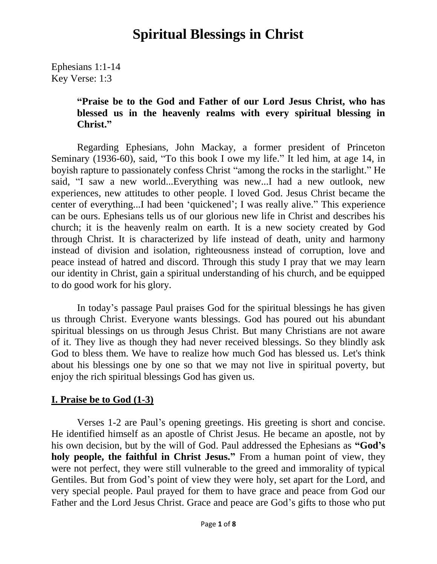Ephesians 1:1-14 Key Verse: 1:3

#### **"Praise be to the God and Father of our Lord Jesus Christ, who has blessed us in the heavenly realms with every spiritual blessing in Christ."**

Regarding Ephesians, John Mackay, a former president of Princeton Seminary (1936-60), said, "To this book I owe my life." It led him, at age 14, in boyish rapture to passionately confess Christ "among the rocks in the starlight." He said, "I saw a new world...Everything was new...I had a new outlook, new experiences, new attitudes to other people. I loved God. Jesus Christ became the center of everything...I had been 'quickened'; I was really alive." This experience can be ours. Ephesians tells us of our glorious new life in Christ and describes his church; it is the heavenly realm on earth. It is a new society created by God through Christ. It is characterized by life instead of death, unity and harmony instead of division and isolation, righteousness instead of corruption, love and peace instead of hatred and discord. Through this study I pray that we may learn our identity in Christ, gain a spiritual understanding of his church, and be equipped to do good work for his glory.

In today's passage Paul praises God for the spiritual blessings he has given us through Christ. Everyone wants blessings. God has poured out his abundant spiritual blessings on us through Jesus Christ. But many Christians are not aware of it. They live as though they had never received blessings. So they blindly ask God to bless them. We have to realize how much God has blessed us. Let's think about his blessings one by one so that we may not live in spiritual poverty, but enjoy the rich spiritual blessings God has given us.

#### **I. Praise be to God (1-3)**

Verses 1-2 are Paul's opening greetings. His greeting is short and concise. He identified himself as an apostle of Christ Jesus. He became an apostle, not by his own decision, but by the will of God. Paul addressed the Ephesians as **"God's holy people, the faithful in Christ Jesus."** From a human point of view, they were not perfect, they were still vulnerable to the greed and immorality of typical Gentiles. But from God's point of view they were holy, set apart for the Lord, and very special people. Paul prayed for them to have grace and peace from God our Father and the Lord Jesus Christ. Grace and peace are God's gifts to those who put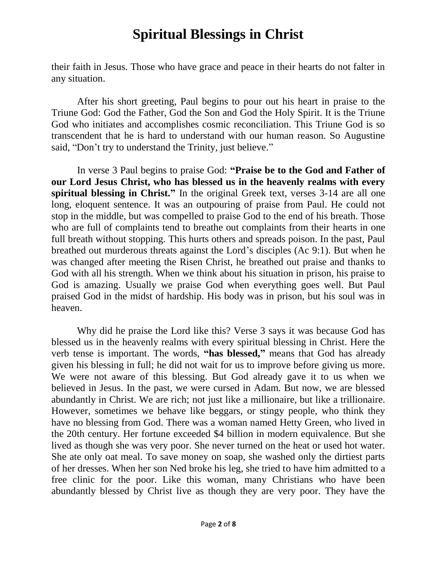their faith in Jesus. Those who have grace and peace in their hearts do not falter in any situation.

After his short greeting, Paul begins to pour out his heart in praise to the Triune God: God the Father, God the Son and God the Holy Spirit. It is the Triune God who initiates and accomplishes cosmic reconciliation. This Triune God is so transcendent that he is hard to understand with our human reason. So Augustine said, "Don't try to understand the Trinity, just believe."

In verse 3 Paul begins to praise God: **"Praise be to the God and Father of our Lord Jesus Christ, who has blessed us in the heavenly realms with every spiritual blessing in Christ."** In the original Greek text, verses 3-14 are all one long, eloquent sentence. It was an outpouring of praise from Paul. He could not stop in the middle, but was compelled to praise God to the end of his breath. Those who are full of complaints tend to breathe out complaints from their hearts in one full breath without stopping. This hurts others and spreads poison. In the past, Paul breathed out murderous threats against the Lord's disciples (Ac 9:1). But when he was changed after meeting the Risen Christ, he breathed out praise and thanks to God with all his strength. When we think about his situation in prison, his praise to God is amazing. Usually we praise God when everything goes well. But Paul praised God in the midst of hardship. His body was in prison, but his soul was in heaven.

Why did he praise the Lord like this? Verse 3 says it was because God has blessed us in the heavenly realms with every spiritual blessing in Christ. Here the verb tense is important. The words, **"has blessed,"** means that God has already given his blessing in full; he did not wait for us to improve before giving us more. We were not aware of this blessing. But God already gave it to us when we believed in Jesus. In the past, we were cursed in Adam. But now, we are blessed abundantly in Christ. We are rich; not just like a millionaire, but like a trillionaire. However, sometimes we behave like beggars, or stingy people, who think they have no blessing from God. There was a woman named Hetty Green, who lived in the 20th century. Her fortune exceeded \$4 billion in modern equivalence. But she lived as though she was very poor. She never turned on the heat or used hot water. She ate only oat meal. To save money on soap, she washed only the dirtiest parts of her dresses. When her son Ned broke his leg, she tried to have him admitted to a free clinic for the poor. Like this woman, many Christians who have been abundantly blessed by Christ live as though they are very poor. They have the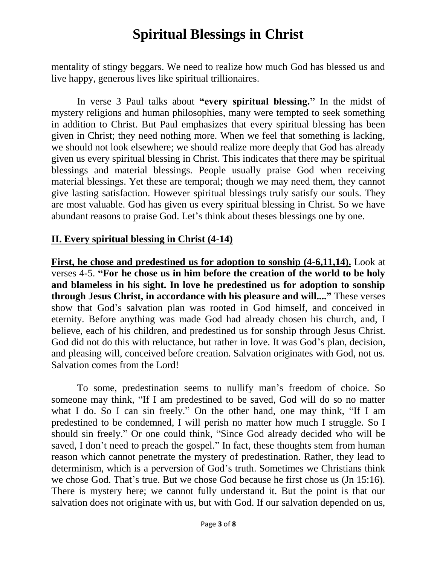mentality of stingy beggars. We need to realize how much God has blessed us and live happy, generous lives like spiritual trillionaires.

In verse 3 Paul talks about **"every spiritual blessing."** In the midst of mystery religions and human philosophies, many were tempted to seek something in addition to Christ. But Paul emphasizes that every spiritual blessing has been given in Christ; they need nothing more. When we feel that something is lacking, we should not look elsewhere; we should realize more deeply that God has already given us every spiritual blessing in Christ. This indicates that there may be spiritual blessings and material blessings. People usually praise God when receiving material blessings. Yet these are temporal; though we may need them, they cannot give lasting satisfaction. However spiritual blessings truly satisfy our souls. They are most valuable. God has given us every spiritual blessing in Christ. So we have abundant reasons to praise God. Let's think about theses blessings one by one.

#### **II. Every spiritual blessing in Christ (4-14)**

**First, he chose and predestined us for adoption to sonship (4-6,11,14).** Look at verses 4-5. **"For he chose us in him before the creation of the world to be holy and blameless in his sight. In love he predestined us for adoption to sonship through Jesus Christ, in accordance with his pleasure and will...."** These verses show that God's salvation plan was rooted in God himself, and conceived in eternity. Before anything was made God had already chosen his church, and, I believe, each of his children, and predestined us for sonship through Jesus Christ. God did not do this with reluctance, but rather in love. It was God's plan, decision, and pleasing will, conceived before creation. Salvation originates with God, not us. Salvation comes from the Lord!

To some, predestination seems to nullify man's freedom of choice. So someone may think, "If I am predestined to be saved, God will do so no matter what I do. So I can sin freely." On the other hand, one may think, "If I am predestined to be condemned, I will perish no matter how much I struggle. So I should sin freely." Or one could think, "Since God already decided who will be saved, I don't need to preach the gospel." In fact, these thoughts stem from human reason which cannot penetrate the mystery of predestination. Rather, they lead to determinism, which is a perversion of God's truth. Sometimes we Christians think we chose God. That's true. But we chose God because he first chose us (Jn 15:16). There is mystery here; we cannot fully understand it. But the point is that our salvation does not originate with us, but with God. If our salvation depended on us,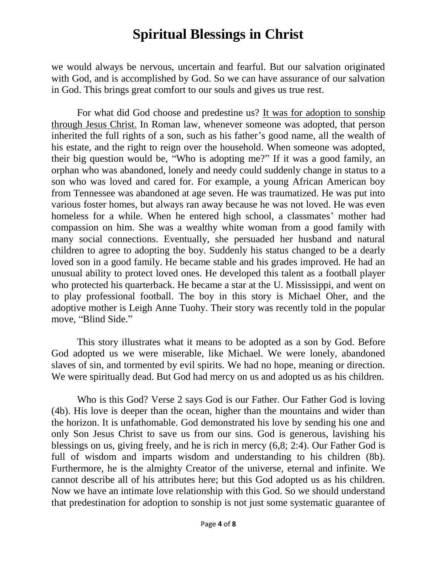we would always be nervous, uncertain and fearful. But our salvation originated with God, and is accomplished by God. So we can have assurance of our salvation in God. This brings great comfort to our souls and gives us true rest.

For what did God choose and predestine us? It was for adoption to sonship through Jesus Christ. In Roman law, whenever someone was adopted, that person inherited the full rights of a son, such as his father's good name, all the wealth of his estate, and the right to reign over the household. When someone was adopted, their big question would be, "Who is adopting me?" If it was a good family, an orphan who was abandoned, lonely and needy could suddenly change in status to a son who was loved and cared for. For example, a young African American boy from Tennessee was abandoned at age seven. He was traumatized. He was put into various foster homes, but always ran away because he was not loved. He was even homeless for a while. When he entered high school, a classmates' mother had compassion on him. She was a wealthy white woman from a good family with many social connections. Eventually, she persuaded her husband and natural children to agree to adopting the boy. Suddenly his status changed to be a dearly loved son in a good family. He became stable and his grades improved. He had an unusual ability to protect loved ones. He developed this talent as a football player who protected his quarterback. He became a star at the U. Mississippi, and went on to play professional football. The boy in this story is Michael Oher, and the adoptive mother is Leigh Anne Tuohy. Their story was recently told in the popular move, "Blind Side."

This story illustrates what it means to be adopted as a son by God. Before God adopted us we were miserable, like Michael. We were lonely, abandoned slaves of sin, and tormented by evil spirits. We had no hope, meaning or direction. We were spiritually dead. But God had mercy on us and adopted us as his children.

Who is this God? Verse 2 says God is our Father. Our Father God is loving (4b). His love is deeper than the ocean, higher than the mountains and wider than the horizon. It is unfathomable. God demonstrated his love by sending his one and only Son Jesus Christ to save us from our sins. God is generous, lavishing his blessings on us, giving freely, and he is rich in mercy (6,8; 2:4). Our Father God is full of wisdom and imparts wisdom and understanding to his children (8b). Furthermore, he is the almighty Creator of the universe, eternal and infinite. We cannot describe all of his attributes here; but this God adopted us as his children. Now we have an intimate love relationship with this God. So we should understand that predestination for adoption to sonship is not just some systematic guarantee of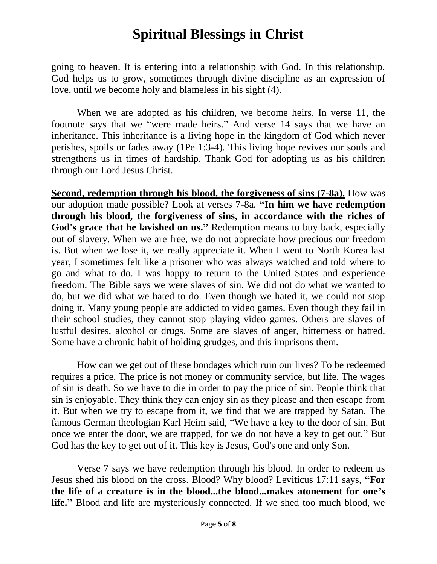going to heaven. It is entering into a relationship with God. In this relationship, God helps us to grow, sometimes through divine discipline as an expression of love, until we become holy and blameless in his sight (4).

When we are adopted as his children, we become heirs. In verse 11, the footnote says that we "were made heirs." And verse 14 says that we have an inheritance. This inheritance is a living hope in the kingdom of God which never perishes, spoils or fades away (1Pe 1:3-4). This living hope revives our souls and strengthens us in times of hardship. Thank God for adopting us as his children through our Lord Jesus Christ.

**Second, redemption through his blood, the forgiveness of sins (7-8a).** How was our adoption made possible? Look at verses 7-8a. **"In him we have redemption through his blood, the forgiveness of sins, in accordance with the riches of God's grace that he lavished on us."** Redemption means to buy back, especially out of slavery. When we are free, we do not appreciate how precious our freedom is. But when we lose it, we really appreciate it. When I went to North Korea last year, I sometimes felt like a prisoner who was always watched and told where to go and what to do. I was happy to return to the United States and experience freedom. The Bible says we were slaves of sin. We did not do what we wanted to do, but we did what we hated to do. Even though we hated it, we could not stop doing it. Many young people are addicted to video games. Even though they fail in their school studies, they cannot stop playing video games. Others are slaves of lustful desires, alcohol or drugs. Some are slaves of anger, bitterness or hatred. Some have a chronic habit of holding grudges, and this imprisons them.

How can we get out of these bondages which ruin our lives? To be redeemed requires a price. The price is not money or community service, but life. The wages of sin is death. So we have to die in order to pay the price of sin. People think that sin is enjoyable. They think they can enjoy sin as they please and then escape from it. But when we try to escape from it, we find that we are trapped by Satan. The famous German theologian Karl Heim said, "We have a key to the door of sin. But once we enter the door, we are trapped, for we do not have a key to get out." But God has the key to get out of it. This key is Jesus, God's one and only Son.

Verse 7 says we have redemption through his blood. In order to redeem us Jesus shed his blood on the cross. Blood? Why blood? Leviticus 17:11 says, **"For the life of a creature is in the blood...the blood...makes atonement for one's life."** Blood and life are mysteriously connected. If we shed too much blood, we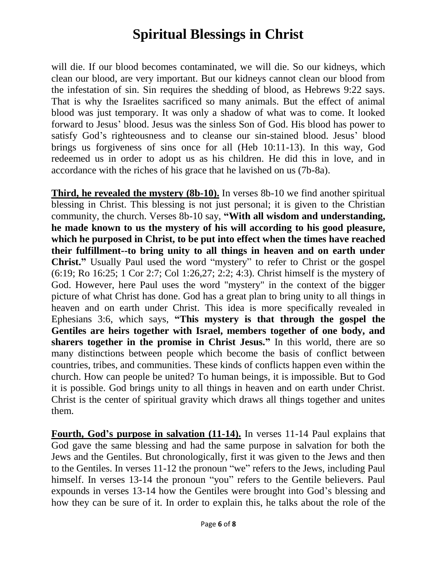will die. If our blood becomes contaminated, we will die. So our kidneys, which clean our blood, are very important. But our kidneys cannot clean our blood from the infestation of sin. Sin requires the shedding of blood, as Hebrews 9:22 says. That is why the Israelites sacrificed so many animals. But the effect of animal blood was just temporary. It was only a shadow of what was to come. It looked forward to Jesus' blood. Jesus was the sinless Son of God. His blood has power to satisfy God's righteousness and to cleanse our sin-stained blood. Jesus' blood brings us forgiveness of sins once for all (Heb 10:11-13). In this way, God redeemed us in order to adopt us as his children. He did this in love, and in accordance with the riches of his grace that he lavished on us (7b-8a).

**Third, he revealed the mystery (8b-10).** In verses 8b-10 we find another spiritual blessing in Christ. This blessing is not just personal; it is given to the Christian community, the church. Verses 8b-10 say, **"With all wisdom and understanding, he made known to us the mystery of his will according to his good pleasure, which he purposed in Christ, to be put into effect when the times have reached their fulfillment--to bring unity to all things in heaven and on earth under Christ."** Usually Paul used the word "mystery" to refer to Christ or the gospel (6:19; Ro 16:25; 1 Cor 2:7; Col 1:26,27; 2:2; 4:3). Christ himself is the mystery of God. However, here Paul uses the word "mystery" in the context of the bigger picture of what Christ has done. God has a great plan to bring unity to all things in heaven and on earth under Christ. This idea is more specifically revealed in Ephesians 3:6, which says, **"This mystery is that through the gospel the Gentiles are heirs together with Israel, members together of one body, and sharers together in the promise in Christ Jesus."** In this world, there are so many distinctions between people which become the basis of conflict between countries, tribes, and communities. These kinds of conflicts happen even within the church. How can people be united? To human beings, it is impossible. But to God it is possible. God brings unity to all things in heaven and on earth under Christ. Christ is the center of spiritual gravity which draws all things together and unites them.

**Fourth, God's purpose in salvation (11-14).** In verses 11-14 Paul explains that God gave the same blessing and had the same purpose in salvation for both the Jews and the Gentiles. But chronologically, first it was given to the Jews and then to the Gentiles. In verses 11-12 the pronoun "we" refers to the Jews, including Paul himself. In verses 13-14 the pronoun "you" refers to the Gentile believers. Paul expounds in verses 13-14 how the Gentiles were brought into God's blessing and how they can be sure of it. In order to explain this, he talks about the role of the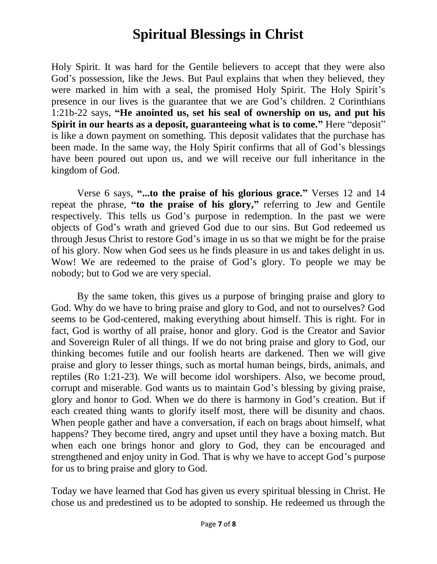Holy Spirit. It was hard for the Gentile believers to accept that they were also God's possession, like the Jews. But Paul explains that when they believed, they were marked in him with a seal, the promised Holy Spirit. The Holy Spirit's presence in our lives is the guarantee that we are God's children. 2 Corinthians 1:21b-22 says, **"He anointed us, set his seal of ownership on us, and put his Spirit in our hearts as a deposit, guaranteeing what is to come."** Here "deposit" is like a down payment on something. This deposit validates that the purchase has been made. In the same way, the Holy Spirit confirms that all of God's blessings have been poured out upon us, and we will receive our full inheritance in the kingdom of God.

Verse 6 says, **"...to the praise of his glorious grace."** Verses 12 and 14 repeat the phrase, **"to the praise of his glory,"** referring to Jew and Gentile respectively. This tells us God's purpose in redemption. In the past we were objects of God's wrath and grieved God due to our sins. But God redeemed us through Jesus Christ to restore God's image in us so that we might be for the praise of his glory. Now when God sees us he finds pleasure in us and takes delight in us. Wow! We are redeemed to the praise of God's glory. To people we may be nobody; but to God we are very special.

By the same token, this gives us a purpose of bringing praise and glory to God. Why do we have to bring praise and glory to God, and not to ourselves? God seems to be God-centered, making everything about himself. This is right. For in fact, God is worthy of all praise, honor and glory. God is the Creator and Savior and Sovereign Ruler of all things. If we do not bring praise and glory to God, our thinking becomes futile and our foolish hearts are darkened. Then we will give praise and glory to lesser things, such as mortal human beings, birds, animals, and reptiles (Ro 1:21-23). We will become idol worshipers. Also, we become proud, corrupt and miserable. God wants us to maintain God's blessing by giving praise, glory and honor to God. When we do there is harmony in God's creation. But if each created thing wants to glorify itself most, there will be disunity and chaos. When people gather and have a conversation, if each on brags about himself, what happens? They become tired, angry and upset until they have a boxing match. But when each one brings honor and glory to God, they can be encouraged and strengthened and enjoy unity in God. That is why we have to accept God's purpose for us to bring praise and glory to God.

Today we have learned that God has given us every spiritual blessing in Christ. He chose us and predestined us to be adopted to sonship. He redeemed us through the